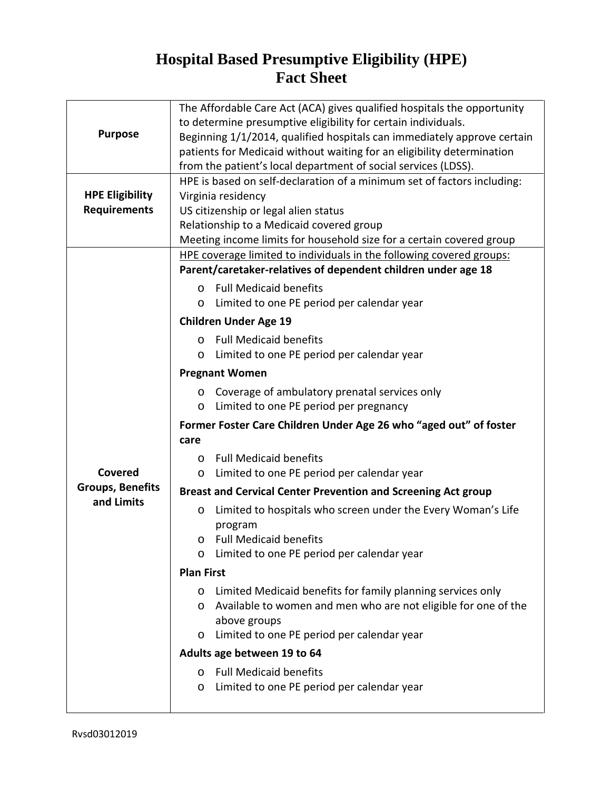## **Hospital Based Presumptive Eligibility (HPE) Fact Sheet**

| <b>Purpose</b>                                | The Affordable Care Act (ACA) gives qualified hospitals the opportunity             |
|-----------------------------------------------|-------------------------------------------------------------------------------------|
|                                               | to determine presumptive eligibility for certain individuals.                       |
|                                               | Beginning 1/1/2014, qualified hospitals can immediately approve certain             |
|                                               | patients for Medicaid without waiting for an eligibility determination              |
|                                               | from the patient's local department of social services (LDSS).                      |
| <b>HPE Eligibility</b><br><b>Requirements</b> | HPE is based on self-declaration of a minimum set of factors including:             |
|                                               | Virginia residency                                                                  |
|                                               | US citizenship or legal alien status                                                |
|                                               | Relationship to a Medicaid covered group                                            |
|                                               | Meeting income limits for household size for a certain covered group                |
|                                               | HPE coverage limited to individuals in the following covered groups:                |
|                                               | Parent/caretaker-relatives of dependent children under age 18                       |
|                                               | o Full Medicaid benefits                                                            |
|                                               | Limited to one PE period per calendar year<br>O                                     |
|                                               |                                                                                     |
|                                               | <b>Children Under Age 19</b>                                                        |
|                                               | <b>Full Medicaid benefits</b><br>$\Omega$                                           |
|                                               | Limited to one PE period per calendar year<br>O                                     |
|                                               | <b>Pregnant Women</b>                                                               |
|                                               | Coverage of ambulatory prenatal services only<br>O                                  |
|                                               | Limited to one PE period per pregnancy<br>O                                         |
|                                               | Former Foster Care Children Under Age 26 who "aged out" of foster                   |
|                                               | care                                                                                |
|                                               | <b>Full Medicaid benefits</b><br>O.                                                 |
| Covered                                       | Limited to one PE period per calendar year<br>O                                     |
| <b>Groups, Benefits</b><br>and Limits         | <b>Breast and Cervical Center Prevention and Screening Act group</b>                |
|                                               | Limited to hospitals who screen under the Every Woman's Life<br>O                   |
|                                               | program<br><b>Full Medicaid benefits</b><br>O                                       |
|                                               | Limited to one PE period per calendar year                                          |
|                                               |                                                                                     |
|                                               | <b>Plan First</b>                                                                   |
|                                               | Limited Medicaid benefits for family planning services only<br>O                    |
|                                               | Available to women and men who are not eligible for one of the<br>O<br>above groups |
|                                               | Limited to one PE period per calendar year<br>$\circ$                               |
|                                               | Adults age between 19 to 64                                                         |
|                                               | <b>Full Medicaid benefits</b><br>$\Omega$                                           |
|                                               | Limited to one PE period per calendar year<br>O                                     |
|                                               |                                                                                     |